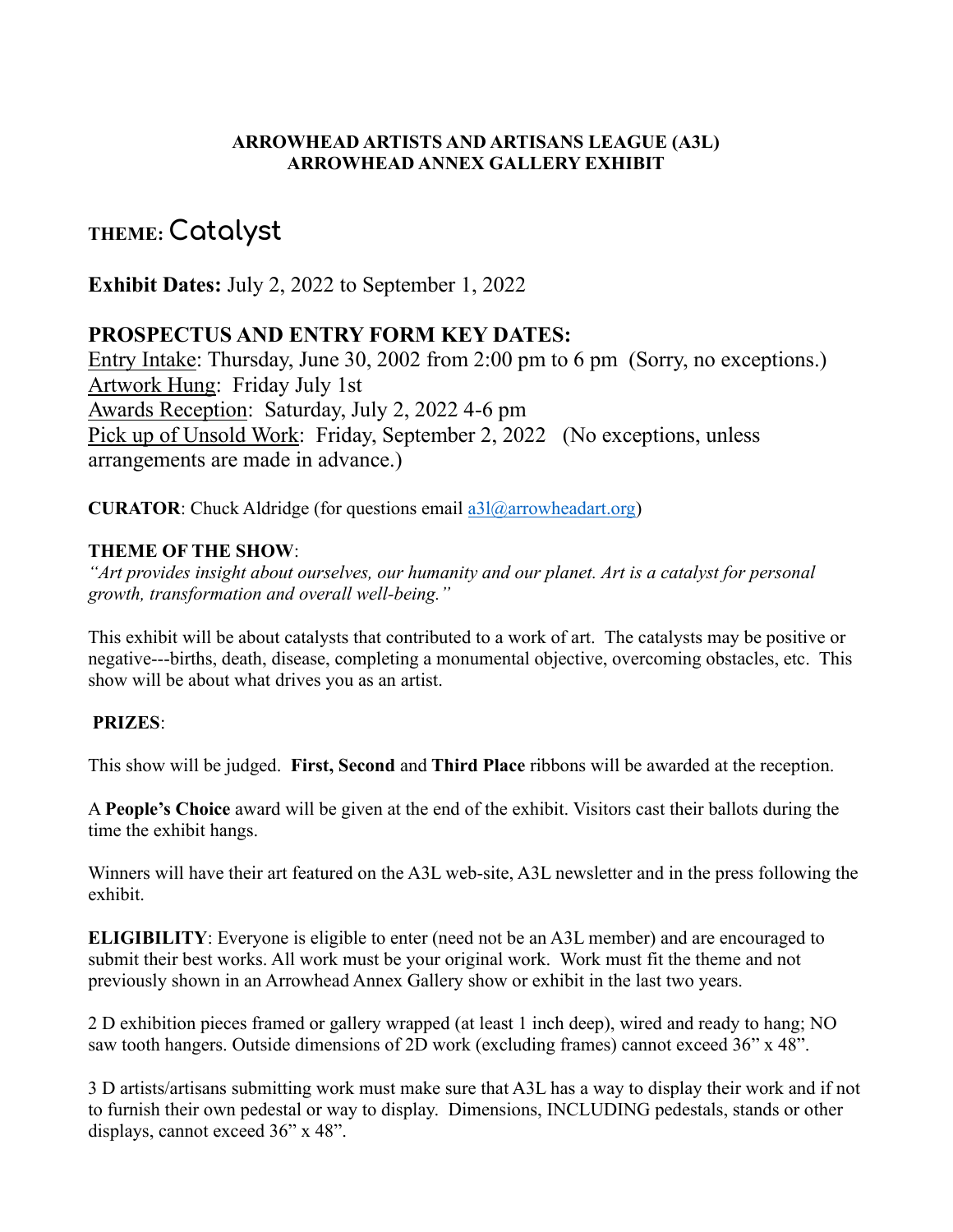#### **ARROWHEAD ARTISTS AND ARTISANS LEAGUE (A3L) ARROWHEAD ANNEX GALLERY EXHIBIT**

# **THEME: Catalyst**

**Exhibit Dates:** July 2, 2022 to September 1, 2022

## **PROSPECTUS AND ENTRY FORM KEY DATES:**

Entry Intake: Thursday, June 30, 2002 from 2:00 pm to 6 pm (Sorry, no exceptions.) Artwork Hung: Friday July 1st Awards Reception: Saturday, July 2, 2022 4-6 pm Pick up of Unsold Work: Friday, September 2, 2022 (No exceptions, unless arrangements are made in advance.)

**CURATOR:** Chuck Aldridge (for questions email [a3l@arrowheadart.org\)](mailto:a3l@arrowheadart.org)

#### **THEME OF THE SHOW**:

*"Art provides insight about ourselves, our humanity and our planet. Art is a catalyst for personal growth, transformation and overall well-being."*

This exhibit will be about catalysts that contributed to a work of art. The catalysts may be positive or negative---births, death, disease, completing a monumental objective, overcoming obstacles, etc. This show will be about what drives you as an artist.

## **PRIZES**:

This show will be judged. **First, Second** and **Third Place** ribbons will be awarded at the reception.

A **People's Choice** award will be given at the end of the exhibit. Visitors cast their ballots during the time the exhibit hangs.

Winners will have their art featured on the A3L web-site, A3L newsletter and in the press following the exhibit.

**ELIGIBILITY**: Everyone is eligible to enter (need not be an A3L member) and are encouraged to submit their best works. All work must be your original work. Work must fit the theme and not previously shown in an Arrowhead Annex Gallery show or exhibit in the last two years.

2 D exhibition pieces framed or gallery wrapped (at least 1 inch deep), wired and ready to hang; NO saw tooth hangers. Outside dimensions of 2D work (excluding frames) cannot exceed 36" x 48".

3 D artists/artisans submitting work must make sure that A3L has a way to display their work and if not to furnish their own pedestal or way to display. Dimensions, INCLUDING pedestals, stands or other displays, cannot exceed 36" x 48".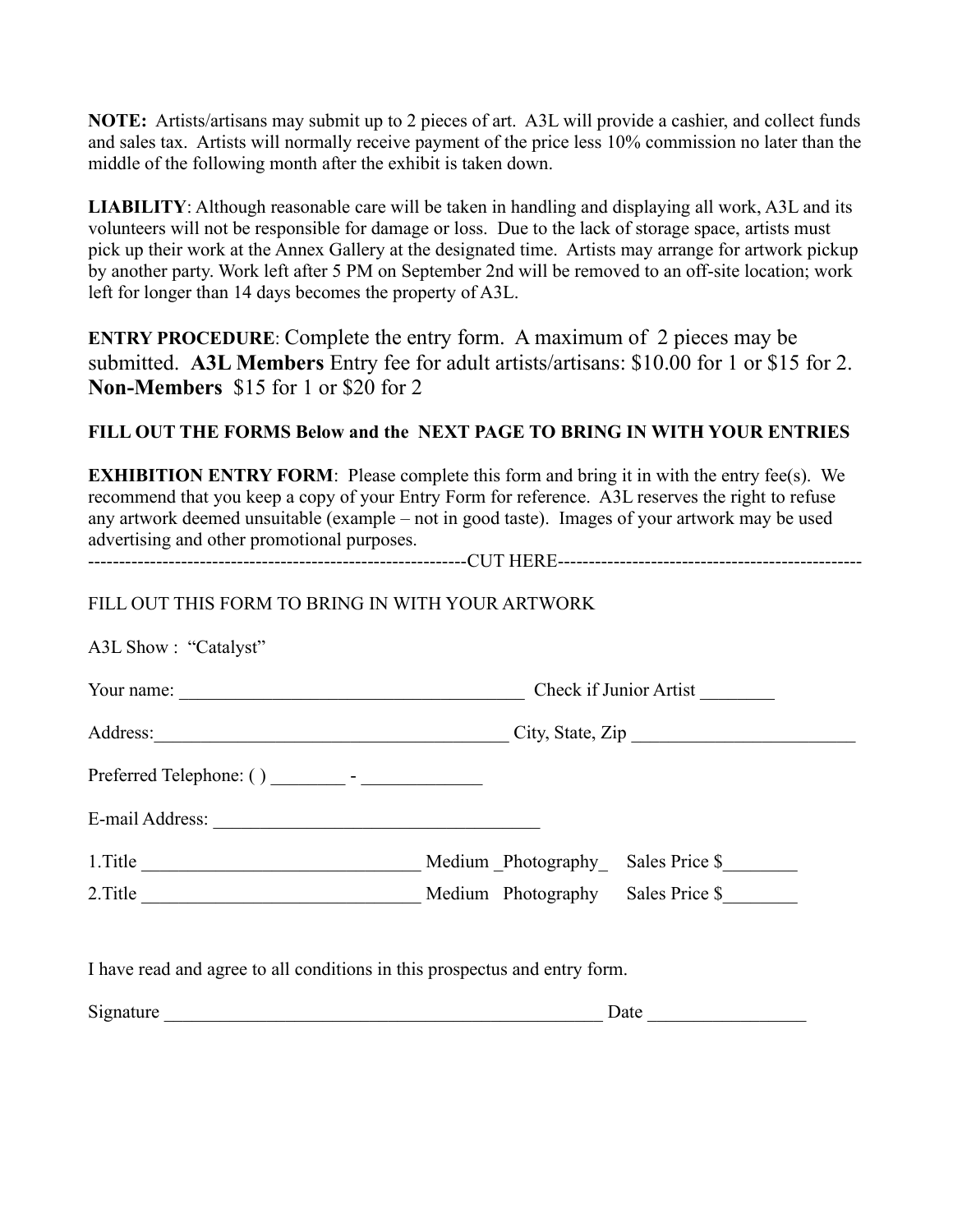**NOTE:** Artists/artisans may submit up to 2 pieces of art. A3L will provide a cashier, and collect funds and sales tax. Artists will normally receive payment of the price less 10% commission no later than the middle of the following month after the exhibit is taken down.

**LIABILITY**: Although reasonable care will be taken in handling and displaying all work, A3L and its volunteers will not be responsible for damage or loss. Due to the lack of storage space, artists must pick up their work at the Annex Gallery at the designated time. Artists may arrange for artwork pickup by another party. Work left after 5 PM on September 2nd will be removed to an off-site location; work left for longer than 14 days becomes the property of A3L.

**ENTRY PROCEDURE**: Complete the entry form. A maximum of 2 pieces may be submitted. **A3L Members** Entry fee for adult artists/artisans: \$10.00 for 1 or \$15 for 2. **Non-Members** \$15 for 1 or \$20 for 2

## **FILL OUT THE FORMS Below and the NEXT PAGE TO BRING IN WITH YOUR ENTRIES**

**EXHIBITION ENTRY FORM:** Please complete this form and bring it in with the entry fee(s). We recommend that you keep a copy of your Entry Form for reference. A3L reserves the right to refuse any artwork deemed unsuitable (example – not in good taste). Images of your artwork may be used advertising and other promotional purposes. -------------------------------------------------------------CUT HERE-------------------------------------------------

# FILL OUT THIS FORM TO BRING IN WITH YOUR ARTWORK

| A3L Show: "Catalyst"                                                       |                           |                |  |
|----------------------------------------------------------------------------|---------------------------|----------------|--|
|                                                                            | Check if Junior Artist    |                |  |
|                                                                            | Address: City, State, Zip |                |  |
|                                                                            |                           |                |  |
|                                                                            |                           |                |  |
|                                                                            |                           | Sales Price \$ |  |
|                                                                            |                           |                |  |
|                                                                            |                           |                |  |
| I have read and agree to all conditions in this prospectus and entry form. |                           |                |  |
| Signature Signature                                                        |                           | Date           |  |